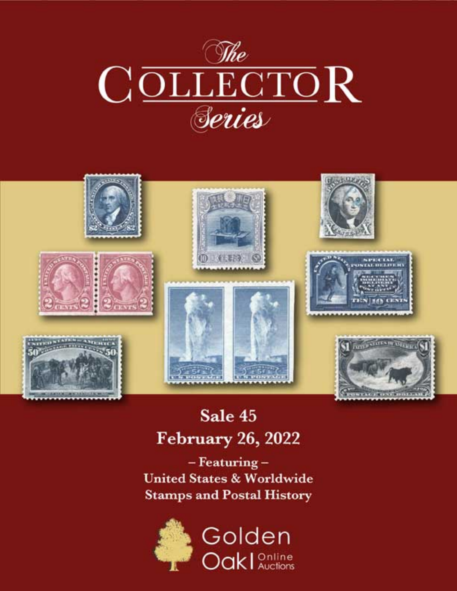



# Sale 45 **February 26, 2022**

 $-$ Featuring $-$ **United States & Worldwide Stamps and Postal History** 

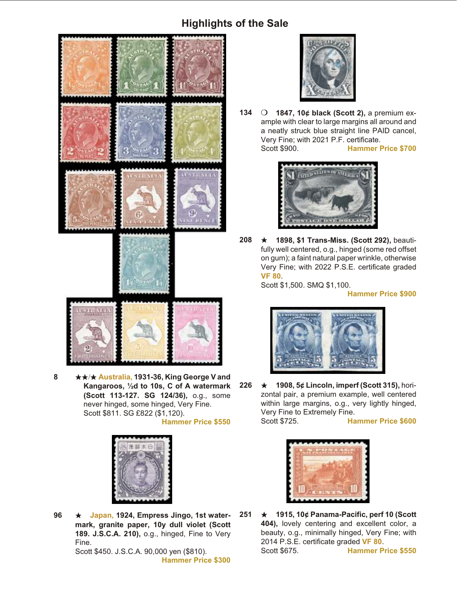## **Highlights of the Sale**



**8**  $\star\star$  **★ Australia, 1931-36, King George V and** Kangaroos, 1/<sub>2</sub>d to 10s, C of A watermark **(Scott 113-127. SG 124/36),** o.g., some never hinged, some hinged, Very Fine. Scott \$811. SG £822 (\$1,120). **Hammer Price \$550**



96  $\star$  Japan, 1924, Empress Jingo, 1st watermark, granite paper, 10y dull violet (Scott **189. J.S.C.A. 210),** o.g., hinged, Fine to Very Fine. Scott \$450. J.S.C.A. 90,000 yen (\$810).

**Hammer Price \$300**



**134** O **1847, 10¢ black (Scott 2), a premium ex**ample with clear to large margins all around and a neatly struck blue straight line PAID cancel, Very Fine; with 2021 P.F. certificate.<br>Scott \$900. Hammer F

**Hammer Price \$700** 



**208 ★ 1898, \$1 Trans-Miss. (Scott 292), beauti**fully well centered, o.g., hinged (some red offset on gum); a faint natural paper wrinkle, otherwise Very Fine; with 2022 P.S.E. certificate graded **VF 80**.

Scott \$1,500. SMQ \$1,100.

**Hammer Price \$900**



**226** ★ 1908, 5¢ Lincoln, imperf (Scott 315), horizontal pair, a premium example, well centered within large margins, o.g., very lightly hinged, Very Fine to Extremely Fine. Scott \$725. **Hammer Price \$600**



**251 ★ 1915, 10¢ Panama-Pacific, perf 10 (Scott** 404), lovely centering and excellent color, a beauty, o.g., minimally hinged, Very Fine; with 2014 P.S.E. certificate graded VF 80. Scott \$675. **Hammer Price \$550**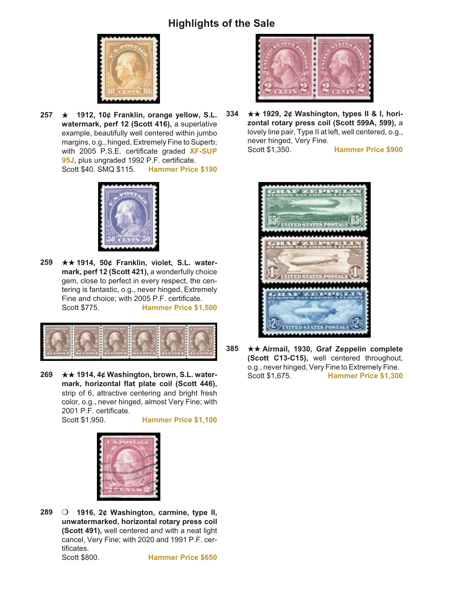## **Highlights of the Sale**



**257 ★ 1912, 10¢ Franklin, orange yellow, S.L.** watermark, perf 12 (Scott 416), a superlative example, beautifully well centered within jumbo margins, o.g., hinged, Extremely Fine to Superb; with 2005 P.S.E. certificate graded **XF-SUP** 95J, plus ungraded 1992 P.F. certificate. Scott \$40. SMQ \$115. **Hammer Price \$190**



**259** ★★ 1914, 50¢ Franklin, violet, S.L. watermark, perf 12 (Scott 421), a wonderfully choice gem, close to perfect in every respect, the centering is fantastic, o.g., never hinged, Extremely Fine and choice; with 2005 P.F. certificate. Scott \$775. **Hammer Price \$1,500**



**269 ★★ 1914, 4¢ Washington, brown, S.L. water**mark, horizontal flat plate coil (Scott 446), strip of 6, attractive centering and bright fresh color, o.g., never hinged, almost Very Fine; with 2001 P.F. certificate.

Scott \$1,950. **Hammer Price \$1,100**



**289** O **1916, 2¢ Washington, carmine, type II, unwatermarked, horizontal rotary press coil (Scott 491), well centered and with a neat light** cancel, Very Fine; with 2020 and 1991 P.F. certificates. Scott \$800. **Hammer Price \$650**



**334** ★★ 1929, 2¢ Washington, types II & I, hori**zon tal ro tary press coil (Scott 599A, 599),** a lovely line pair, Type II at left, well centered, o.g., never hinged, Very Fine. Scott \$1,350. **Hammer Price \$900**



**385** ★★ Airmail, 1930, Graf Zeppelin complete **(Scott C13-C15), well centered throughout,** o.g., never hinged, Very Fine to Extremely Fine. Scott \$1,675. **Hammer Price \$1,300**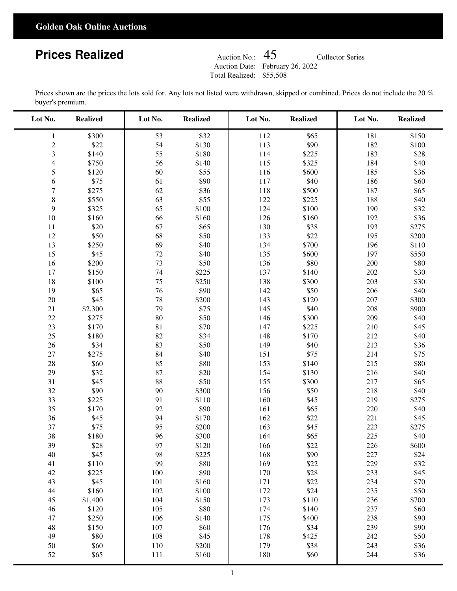#### **Golden Oak Online Auctions**

# **Prices Realized**

Auction Date: February 26, 2022 Auction No.: Total Realized: \$55,508

Collector Series

Prices shown are the prices the lots sold for. Any lots not listed were withdrawn, skipped or combined. Prices do not include the 20 % buyer's premium.

| Lot No.        | <b>Realized</b> | Lot No. | <b>Realized</b> | Lot No. | <b>Realized</b> | Lot No. | <b>Realized</b> |
|----------------|-----------------|---------|-----------------|---------|-----------------|---------|-----------------|
| $\mathbf{1}$   | \$300           | 53      | \$32            | 112     | \$65            | 181     | \$150           |
| $\mathbf{2}$   | \$22            | 54      | \$130           | 113     | \$90            | 182     | \$100           |
| $\mathfrak{Z}$ | \$140           | 55      | \$180           | 114     | \$225           | 183     | \$28            |
| $\overline{4}$ | \$750           | 56      | \$140           | 115     | \$325           | 184     | \$40            |
| 5              | \$120           | 60      | \$55            | 116     | \$600           | 185     | \$36            |
| 6              | \$75            | 61      | \$90            | 117     | \$40            | 186     | \$60            |
| $\tau$         | \$275           | 62      | \$36            | 118     | \$500           | 187     | \$65            |
| $\,$ 8 $\,$    | \$550           | 63      | \$55            | 122     | \$225           | 188     | \$40            |
| $\mathbf{9}$   | \$325           | 65      | \$100           | 124     | \$100           | 190     | \$32            |
| $10\,$         | \$160           | 66      | \$160           | 126     | \$160           | 192     | \$36            |
| 11             | \$20            | 67      | \$65            | 130     | \$38            | 193     | \$275           |
| 12             | \$50            | 68      | \$50            | 133     | \$22            | 195     | \$200           |
| 13             | \$250           | 69      | \$40            | 134     | \$700           | 196     | \$110           |
| 15             | \$45            | $72\,$  | \$40            | 135     | \$600           | 197     | \$550           |
| 16             | \$200           | 73      | \$50            | 136     | \$80            | 200     | \$80            |
| 17             | \$150           | 74      | \$225           | 137     | \$140           | 202     | \$30            |
| $18\,$         | \$100           | 75      | \$250           | 138     | \$300           | 203     | \$30            |
| 19             | \$65            | 76      | \$90            | 142     | \$50            | 206     | \$40            |
| $20\,$         | \$45            | $78\,$  | \$200           | 143     | \$120           | 207     | \$300           |
| 21             | \$2,300         | 79      | \$75            | 145     | \$40            | 208     | \$900           |
| $22\,$         | \$275           | 80      | \$50            | 146     | \$300           | 209     | \$40            |
| 23             | \$170           | 81      | \$70            | 147     | \$225           | 210     | \$45            |
| 25             | \$180           | 82      | \$34            | 148     | \$170           | 212     | \$40            |
| 26             | \$34            | 83      | \$50            | 149     | \$40            | 213     | \$36            |
| 27             | \$275           | 84      | \$40            | 151     | \$75            | 214     | \$75            |
| 28             | \$60            | 85      | \$80            | 153     | \$140           | 215     | \$80            |
| 29             | \$32            | 87      | \$20            | 154     | \$130           | 216     | \$40            |
| 31             | \$45            | 88      | \$50            | 155     | \$300           | 217     | \$65            |
| 32             | \$90            | 90      | \$300           | 156     | \$50            | 218     | \$40            |
| 33             | \$225           | 91      | \$110           | 160     | \$45            | 219     | \$275           |
| 35             | \$170           | 92      | \$90            | 161     | \$65            | 220     | \$40            |
| 36             | \$45            | 94      | \$170           | 162     | \$22            | 221     | \$45            |
| 37             | \$75            | 95      | \$200           | 163     | \$45            | 223     | \$275           |
| 38             | \$180           | 96      | \$300           | 164     | \$65            | 225     | \$40            |
| 39             | \$28            | 97      | \$120           | 166     | \$22            | 226     | \$600           |
| 40             | \$45            | 98      | \$225           | 168     | \$90            | 227     | \$24            |
| 41             | \$110           | 99      | \$80            | 169     | \$22            | 229     | \$32            |
| $42\,$         | \$225           | 100     | \$90            | 170     | \$28            | 233     | \$45            |
| 43             | \$45            | 101     | \$160           | 171     | \$22            | 234     | \$70            |
| 44             | \$160           | 102     | \$100           | 172     | \$24            | 235     | \$50            |
| 45             | \$1,400         | 104     | \$150           | 173     | \$110           | 236     | \$700           |
| 46             | \$120           | 105     | \$80            | 174     | \$140           | 237     | \$60            |
| 47             | \$250           | 106     | \$140           | 175     | \$400           | 238     | \$90            |
| 48             | \$150           | 107     | \$60            | 176     | \$34            | 239     | \$90            |
| 49             | \$80            | 108     | \$45            | 178     | \$425           | 242     | \$50            |
| $50\,$         | \$60            | 110     | \$200           | 179     | \$38            | 243     | \$36            |
| 52             | \$65            | 111     | \$160           | 180     | \$60            | 244     | \$36            |